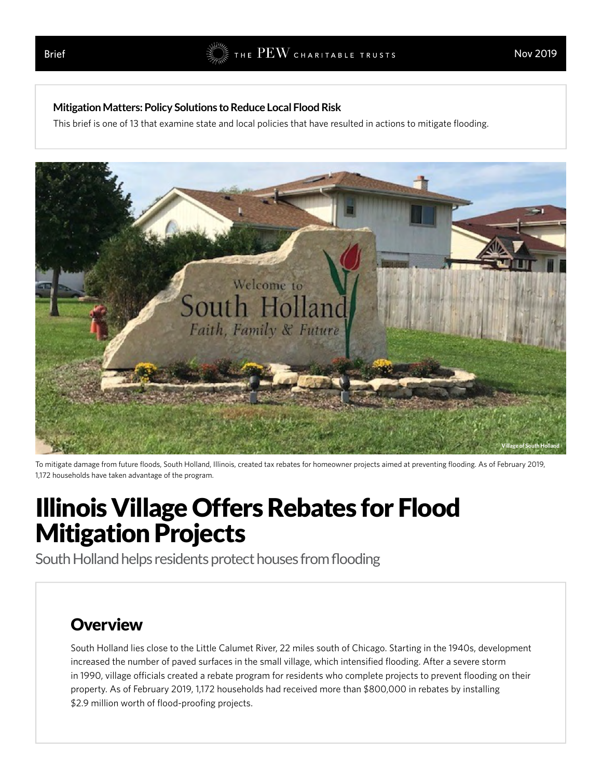#### **Mitigation Matters: Policy Solutions to Reduce Local Flood Risk**

This brief is [one of 13](http://pewtrusts.org/mitigationmatters) that examine state and local policies that have resulted in actions to mitigate flooding.



To mitigate damage from future floods, South Holland, Illinois, created tax rebates for homeowner projects aimed at preventing flooding. As of February 2019, 1,172 households have taken advantage of the program.

# Illinois Village Offers Rebates for Flood Mitigation Projects

South Holland helps residents protect houses from flooding

### **Overview**

South Holland lies close to the Little Calumet River, 22 miles south of Chicago. Starting in the 1940s, development increased the number of paved surfaces in the small village, which intensified flooding. After a severe storm in 1990, village officials created a rebate program for residents who complete projects to prevent flooding on their property. As of February 2019, 1,172 households had received more than \$800,000 in rebates by installing \$2.9 million worth of flood-proofing projects.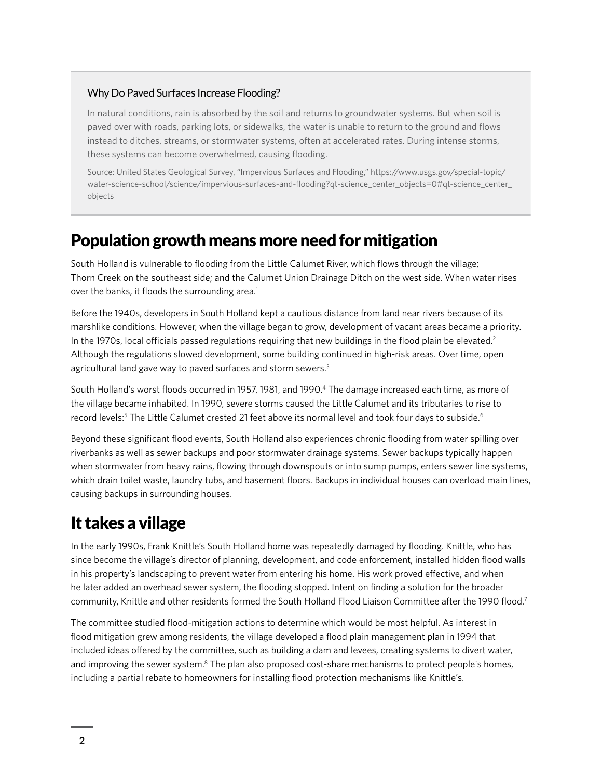#### Why Do Paved Surfaces Increase Flooding?

In natural conditions, rain is absorbed by the soil and returns to groundwater systems. But when soil is paved over with roads, parking lots, or sidewalks, the water is unable to return to the ground and flows instead to ditches, streams, or stormwater systems, often at accelerated rates. During intense storms, these systems can become overwhelmed, causing flooding.

Source: United States Geological Survey, "Impervious Surfaces and Flooding," [https://www.usgs.gov/special-topic/](https://www.usgs.gov/special-topic/water-science-school/science/impervious-surfaces-and-flooding?qt-science_center_objects=0#qt-science_center_objects) [water-science-school/science/impervious-surfaces-and-flooding?qt-science\\_center\\_objects=0#qt-science\\_center\\_](https://www.usgs.gov/special-topic/water-science-school/science/impervious-surfaces-and-flooding?qt-science_center_objects=0#qt-science_center_objects) [objects](https://www.usgs.gov/special-topic/water-science-school/science/impervious-surfaces-and-flooding?qt-science_center_objects=0#qt-science_center_objects)

### Population growth means more need for mitigation

South Holland is vulnerable to flooding from the Little Calumet River, which flows through the village; Thorn Creek on the southeast side; and the Calumet Union Drainage Ditch on the west side. When water rises over the banks, it floods the surrounding area.<sup>1</sup>

Before the 1940s, developers in South Holland kept a cautious distance from land near rivers because of its marshlike conditions. However, when the village began to grow, development of vacant areas became a priority. In the 1970s, local officials passed regulations requiring that new buildings in the flood plain be elevated.<sup>2</sup> Although the regulations slowed development, some building continued in high-risk areas. Over time, open agricultural land gave way to paved surfaces and storm sewers.<sup>3</sup>

South Holland's worst floods occurred in 1957, 1981, and 1990.4 The damage increased each time, as more of the village became inhabited. In 1990, severe storms caused the Little Calumet and its tributaries to rise to record levels:<sup>5</sup> The Little Calumet crested 21 feet above its normal level and took four days to subside.<sup>6</sup>

Beyond these significant flood events, South Holland also experiences chronic flooding from water spilling over riverbanks as well as sewer backups and poor stormwater drainage systems. Sewer backups typically happen when stormwater from heavy rains, flowing through downspouts or into sump pumps, enters sewer line systems, which drain toilet waste, laundry tubs, and basement floors. Backups in individual houses can overload main lines, causing backups in surrounding houses.

### It takes a village

In the early 1990s, Frank Knittle's South Holland home was repeatedly damaged by flooding. Knittle, who has since become the village's director of planning, development, and code enforcement, installed hidden flood walls in his property's landscaping to prevent water from entering his home. His work proved effective, and when he later added an overhead sewer system, the flooding stopped. Intent on finding a solution for the broader community, Knittle and other residents formed the South Holland Flood Liaison Committee after the 1990 flood.7

The committee studied flood-mitigation actions to determine which would be most helpful. As interest in flood mitigation grew among residents, the village developed a flood plain management plan in 1994 that included ideas offered by the committee, such as building a dam and levees, creating systems to divert water, and improving the sewer system.<sup>8</sup> The plan also proposed cost-share mechanisms to protect people's homes, including a partial rebate to homeowners for installing flood protection mechanisms like Knittle's.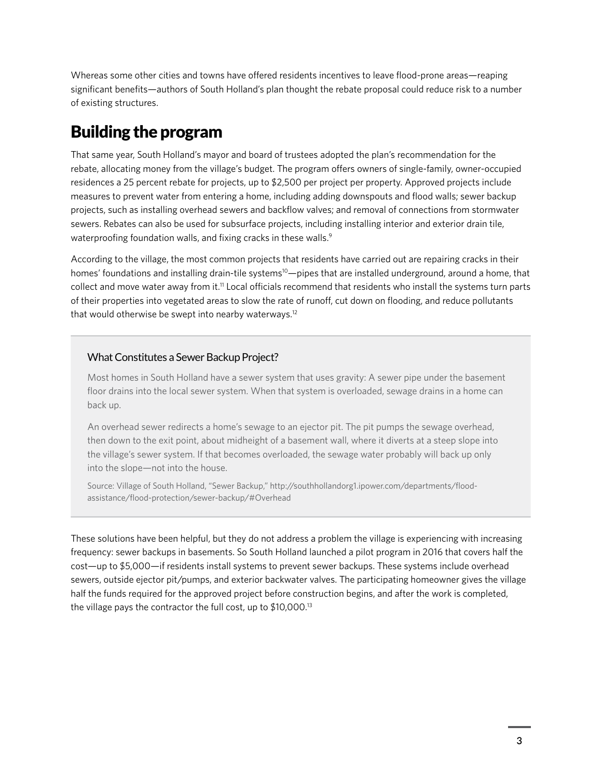Whereas some other cities and towns have offered residents incentives to leave flood-prone areas—reaping significant benefits—authors of South Holland's plan thought the rebate proposal could reduce risk to a number of existing structures.

# Building the program

That same year, South Holland's mayor and board of trustees adopted the plan's recommendation for the rebate, allocating money from the village's budget. The program offers owners of single-family, owner-occupied residences a 25 percent rebate for projects, up to \$2,500 per project per property. Approved projects include measures to prevent water from entering a home, including adding downspouts and flood walls; sewer backup projects, such as installing overhead sewers and backflow valves; and removal of connections from stormwater sewers. Rebates can also be used for subsurface projects, including installing interior and exterior drain tile, waterproofing foundation walls, and fixing cracks in these walls.<sup>9</sup>

According to the village, the most common projects that residents have carried out are repairing cracks in their homes' foundations and installing drain-tile systems<sup>10</sup>—pipes that are installed underground, around a home, that collect and move water away from it.<sup>11</sup> Local officials recommend that residents who install the systems turn parts of their properties into vegetated areas to slow the rate of runoff, cut down on flooding, and reduce pollutants that would otherwise be swept into nearby waterways.<sup>12</sup>

#### What Constitutes a Sewer Backup Project?

Most homes in South Holland have a sewer system that uses gravity: A sewer pipe under the basement floor drains into the local sewer system. When that system is overloaded, sewage drains in a home can back up.

An overhead sewer redirects a home's sewage to an ejector pit. The pit pumps the sewage overhead, then down to the exit point, about midheight of a basement wall, where it diverts at a steep slope into the village's sewer system. If that becomes overloaded, the sewage water probably will back up only into the slope—not into the house.

Source: Village of South Holland, "Sewer Backup," [http://southhollandorg1.ipower.com/departments/flood](http://southhollandorg1.ipower.com/departments/flood-assistance/flood-protection/sewer-backup/#Overhead)[assistance/flood-protection/sewer-backup/#Overhead](http://southhollandorg1.ipower.com/departments/flood-assistance/flood-protection/sewer-backup/#Overhead)

These solutions have been helpful, but they do not address a problem the village is experiencing with increasing frequency: sewer backups in basements. So South Holland launched a pilot program in 2016 that covers half the cost—up to \$5,000—if residents install systems to prevent sewer backups. These systems include overhead sewers, outside ejector pit/pumps, and exterior backwater valves. The participating homeowner gives the village half the funds required for the approved project before construction begins, and after the work is completed, the village pays the contractor the full cost, up to \$10,000.13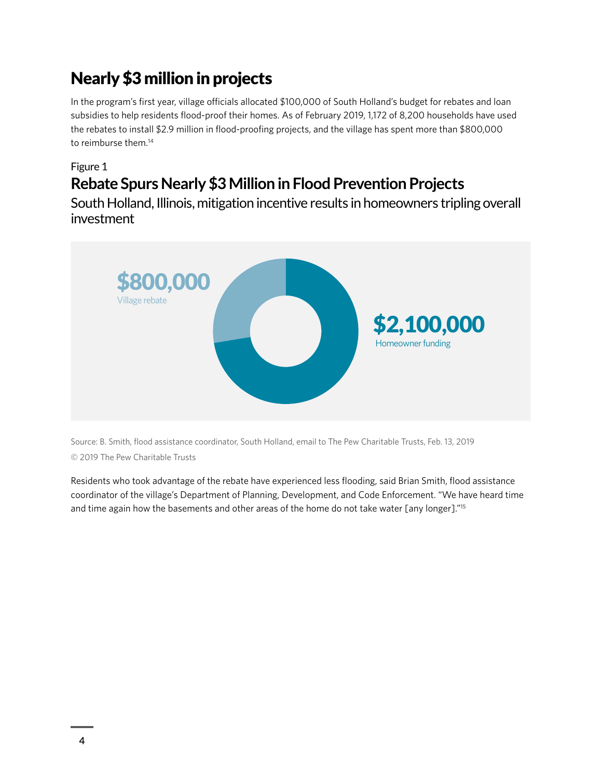# Nearly \$3 million in projects

In the program's first year, village officials allocated \$100,000 of South Holland's budget for rebates and loan subsidies to help residents flood-proof their homes. As of February 2019, 1,172 of 8,200 households have used the rebates to install \$2.9 million in flood-proofing projects, and the village has spent more than \$800,000 to reimburse them.<sup>14</sup>

Figure 1

# **Rebate Spurs Nearly \$3 Million in Flood Prevention Projects**

South Holland, Illinois, mitigation incentive results in homeowners tripling overall investment



Source: B. Smith, flood assistance coordinator, South Holland, email to The Pew Charitable Trusts, Feb. 13, 2019 © 2019 The Pew Charitable Trusts

Residents who took advantage of the rebate have experienced less flooding, said Brian Smith, flood assistance coordinator of the village's Department of Planning, Development, and Code Enforcement. "We have heard time and time again how the basements and other areas of the home do not take water [any longer]."15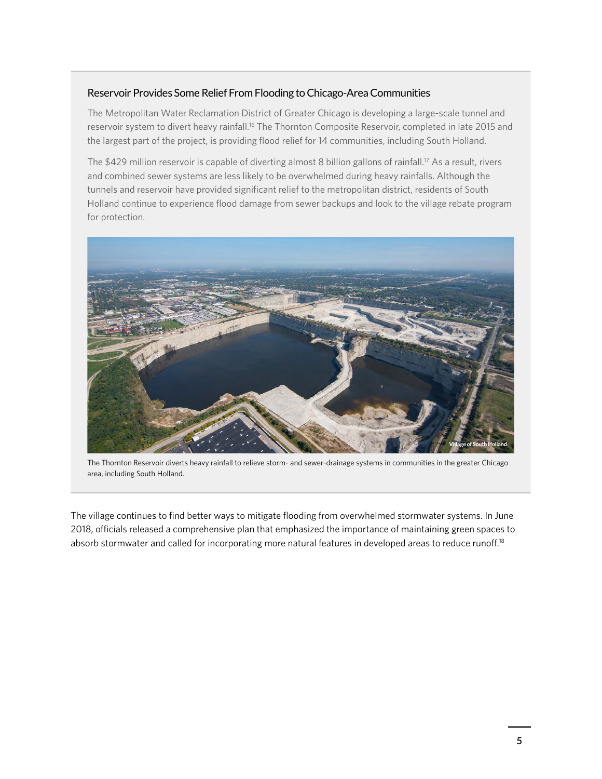#### Reservoir Provides Some Relief From Flooding to Chicago-Area Communities

The Metropolitan Water Reclamation District of Greater Chicago is developing a large-scale tunnel and reservoir system to divert heavy rainfall.16 The Thornton Composite Reservoir, completed in late 2015 and the largest part of the project, is providing flood relief for 14 communities, including South Holland.

The \$429 million reservoir is capable of diverting almost 8 billion gallons of rainfall.<sup>17</sup> As a result, rivers and combined sewer systems are less likely to be overwhelmed during heavy rainfalls. Although the tunnels and reservoir have provided significant relief to the metropolitan district, residents of South Holland continue to experience flood damage from sewer backups and look to the village rebate program for protection.



The Thornton Reservoir diverts heavy rainfall to relieve storm- and sewer-drainage systems in communities in the greater Chicago area, including South Holland.

The village continues to find better ways to mitigate flooding from overwhelmed stormwater systems. In June 2018, officials released a comprehensive plan that emphasized the importance of maintaining green spaces to absorb stormwater and called for incorporating more natural features in developed areas to reduce runoff.<sup>18</sup>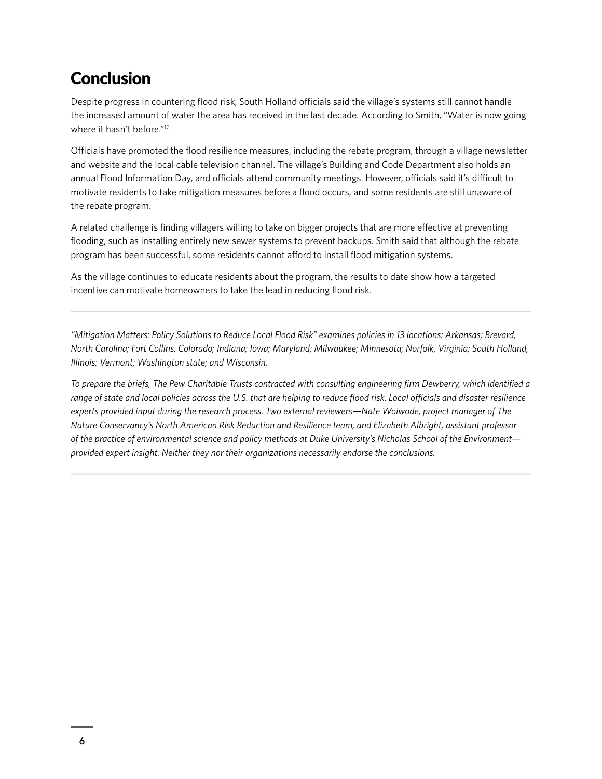## Conclusion

Despite progress in countering flood risk, South Holland officials said the village's systems still cannot handle the increased amount of water the area has received in the last decade. According to Smith, "Water is now going where it hasn't before."19

Officials have promoted the flood resilience measures, including the rebate program, through a village newsletter and website and the local cable television channel. The village's Building and Code Department also holds an annual Flood Information Day, and officials attend community meetings. However, officials said it's difficult to motivate residents to take mitigation measures before a flood occurs, and some residents are still unaware of the rebate program.

A related challenge is finding villagers willing to take on bigger projects that are more effective at preventing flooding, such as installing entirely new sewer systems to prevent backups. Smith said that although the rebate program has been successful, some residents cannot afford to install flood mitigation systems.

As the village continues to educate residents about the program, the results to date show how a targeted incentive can motivate homeowners to take the lead in reducing flood risk.

*"Mitigation Matters: Policy Solutions to Reduce Local Flood Risk" examines policies in 13 locations: Arkansas; Brevard, North Carolina; Fort Collins, Colorado; Indiana; Iowa; Maryland; Milwaukee; Minnesota; Norfolk, Virginia; South Holland, Illinois; Vermont; Washington state; and Wisconsin.*

*To prepare the briefs, The Pew Charitable Trusts contracted with consulting engineering firm Dewberry, which identified a range of state and local policies across the U.S. that are helping to reduce flood risk. Local officials and disaster resilience experts provided input during the research process. Two external reviewers—Nate Woiwode, project manager of The Nature Conservancy's North American Risk Reduction and Resilience team, and Elizabeth Albright, assistant professor of the practice of environmental science and policy methods at Duke University's Nicholas School of the Environment provided expert insight. Neither they nor their organizations necessarily endorse the conclusions.*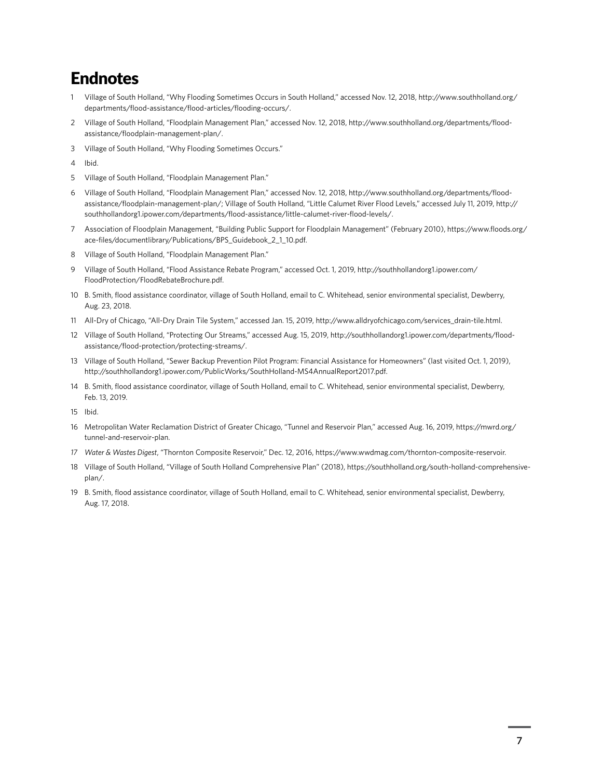### Endnotes

- 1 Village of South Holland, "Why Flooding Sometimes Occurs in South Holland," accessed Nov. 12, 2018, [http://www.southholland.org/](http://www.southholland.org/departments/flood-assistance/flood-articles/flooding-occurs/) [departments/flood-assistance/flood-articles/flooding-occurs/](http://www.southholland.org/departments/flood-assistance/flood-articles/flooding-occurs/).
- 2 Village of South Holland, "Floodplain Management Plan," accessed Nov. 12, 2018, [http://www.southholland.org/departments/flood](http://www.southholland.org/departments/flood-assistance/floodplain-management-plan/)[assistance/floodplain-management-plan/](http://www.southholland.org/departments/flood-assistance/floodplain-management-plan/).
- 3 Village of South Holland, "Why Flooding Sometimes Occurs."
- 4 Ibid.
- 5 Village of South Holland, "Floodplain Management Plan."
- 6 Village of South Holland, "Floodplain Management Plan," accessed Nov. 12, 2018, [http://www.southholland.org/departments/flood](http://www.southholland.org/departments/flood-assistance/floodplain-management-plan/)[assistance/floodplain-management-plan/](http://www.southholland.org/departments/flood-assistance/floodplain-management-plan/); Village of South Holland, "Little Calumet River Flood Levels," accessed July 11, 2019, [http://](http://southhollandorg1.ipower.com/departments/flood-assistance/little-calumet-river-flood-levels/) [southhollandorg1.ipower.com/departments/flood-assistance/little-calumet-river-flood-levels/](http://southhollandorg1.ipower.com/departments/flood-assistance/little-calumet-river-flood-levels/).
- 7 Association of Floodplain Management, "Building Public Support for Floodplain Management" (February 2010), [https://www.floods.org/](https://www.floods.org/ace-files/documentlibrary/Publications/BPS_Guidebook_2_1_10.pdf) [ace-files/documentlibrary/Publications/BPS\\_Guidebook\\_2\\_1\\_10.pdf.](https://www.floods.org/ace-files/documentlibrary/Publications/BPS_Guidebook_2_1_10.pdf)
- 8 Village of South Holland, "Floodplain Management Plan."
- 9 Village of South Holland, "Flood Assistance Rebate Program," accessed Oct. 1, 2019, [http://southhollandorg1.ipower.com/](http://southhollandorg1.ipower.com/FloodProtection/FloodRebateBrochure.pdf) [FloodProtection/FloodRebateBrochure.pdf](http://southhollandorg1.ipower.com/FloodProtection/FloodRebateBrochure.pdf).
- 10 B. Smith, flood assistance coordinator, village of South Holland, email to C. Whitehead, senior environmental specialist, Dewberry, Aug. 23, 2018.
- 11 All-Dry of Chicago, "All-Dry Drain Tile System," accessed Jan. 15, 2019, [http://www.alldryofchicago.com/services\\_drain-tile.html](http://www.alldryofchicago.com/services_drain-tile.html).
- 12 Village of South Holland, "Protecting Our Streams," accessed Aug. 15, 2019, [http://southhollandorg1.ipower.com/departments/flood](http://southhollandorg1.ipower.com/departments/flood-assistance/flood-protection/protecting-streams/)[assistance/flood-protection/protecting-streams/.](http://southhollandorg1.ipower.com/departments/flood-assistance/flood-protection/protecting-streams/)
- 13 Village of South Holland, "Sewer Backup Prevention Pilot Program: Financial Assistance for Homeowners" (last visited Oct. 1, 2019), [http://southhollandorg1.ipower.com/PublicWorks/SouthHolland-MS4AnnualReport2017.pdf.](http://southhollandorg1.ipower.com/PublicWorks/SouthHolland-MS4AnnualReport2017.pdf)
- 14 B. Smith, flood assistance coordinator, village of South Holland, email to C. Whitehead, senior environmental specialist, Dewberry, Feb. 13, 2019.
- 15 Ibid.
- 16 Metropolitan Water Reclamation District of Greater Chicago, "Tunnel and Reservoir Plan," accessed Aug. 16, 2019, [https://mwrd.org/](https://mwrd.org/tunnel-and-reservoir-plan) [tunnel-and-reservoir-plan](https://mwrd.org/tunnel-and-reservoir-plan).
- *17 Water & Wastes Digest*, "Thornton Composite Reservoir," Dec. 12, 2016,<https://www.wwdmag.com/thornton-composite-reservoir>.
- 18 Village of South Holland, "Village of South Holland Comprehensive Plan" (2018), [https://southholland.org/south-holland-comprehensive](https://southholland.org/south-holland-comprehensive-plan/)[plan/](https://southholland.org/south-holland-comprehensive-plan/).
- 19 B. Smith, flood assistance coordinator, village of South Holland, email to C. Whitehead, senior environmental specialist, Dewberry, Aug. 17, 2018.